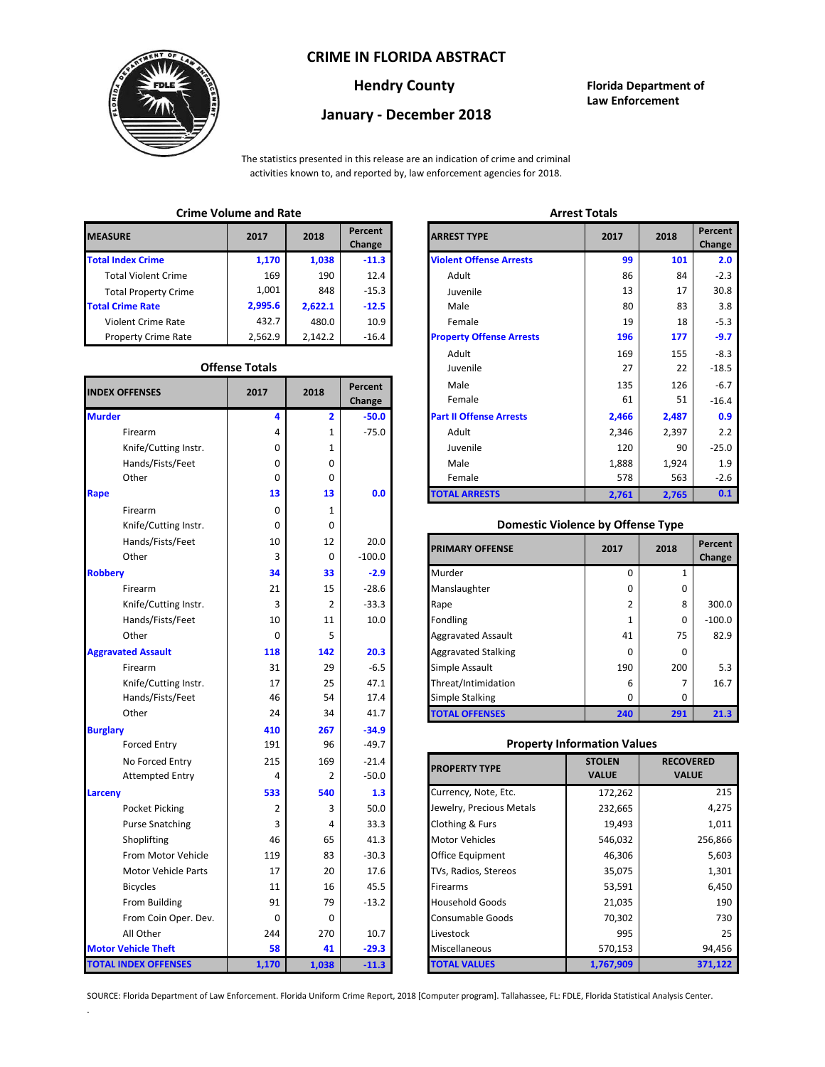## **CRIME IN FLORIDA ABSTRACT**



# **January - December 2018**

**Hendry County Florida Department of Law Enforcement**

The statistics presented in this release are an indication of crime and criminal activities known to, and reported by, law enforcement agencies for 2018.

## **Crime Volume and Rate Arrest Totals**

| <b>MEASURE</b>              | 2017    | 2018    | Percent<br>Change | <b>ARREST TYPE</b>             |
|-----------------------------|---------|---------|-------------------|--------------------------------|
| <b>Total Index Crime</b>    | 1.170   | 1,038   | $-11.3$           | <b>Violent Offense Arrests</b> |
| <b>Total Violent Crime</b>  | 169     | 190     | 12.4              | Adult                          |
| <b>Total Property Crime</b> | 1.001   | 848     | $-15.3$           | Juvenile                       |
| <b>Total Crime Rate</b>     | 2,995.6 | 2,622.1 | $-12.5$           | Male                           |
| Violent Crime Rate          | 432.7   | 480.0   | 10.9              | Female                         |
| <b>Property Crime Rate</b>  | 2.562.9 | 2.142.2 | $-16.4$           | <b>Property Offense Arrest</b> |

#### **Offense Totals**

| <b>INDEX OFFENSES</b>       | 2017        | 2018                    | Percent<br>Change | Male<br>Female                           | 135<br>61                         | 126<br>51      | $-6.7$<br>$-16.4$ |
|-----------------------------|-------------|-------------------------|-------------------|------------------------------------------|-----------------------------------|----------------|-------------------|
| <b>Murder</b>               | 4           | $\overline{\mathbf{2}}$ | $-50.0$           | <b>Part II Offense Arrests</b>           | 2,466                             | 2,487          | 0.9               |
| Firearm                     | 4           | 1                       | $-75.0$           | Adult                                    | 2,346                             | 2,397          | 2.2               |
| Knife/Cutting Instr.        | 0           | 1                       |                   | Juvenile                                 | 120                               | 90             | $-25.0$           |
| Hands/Fists/Feet            | 0           | 0                       |                   | Male                                     | 1,888                             | 1,924          | 1.9               |
| Other                       | 0           | 0                       |                   | Female                                   | 578                               | 563            | $-2.6$            |
| Rape                        | 13          | 13                      | 0.0               | <b>TOTAL ARRESTS</b>                     | 2,761                             | 2,765          | 0.1               |
| Firearm                     | 0           | 1                       |                   |                                          |                                   |                |                   |
| Knife/Cutting Instr.        | $\mathbf 0$ | 0                       |                   | <b>Domestic Violence by Offense Type</b> |                                   |                |                   |
| Hands/Fists/Feet            | 10          | 12                      | 20.0              |                                          |                                   |                | Percent           |
| Other                       | 3           | $\mathbf 0$             | $-100.0$          | <b>PRIMARY OFFENSE</b>                   | 2017                              | 2018           | Change            |
| <b>Robberv</b>              | 34          | 33                      | $-2.9$            | Murder                                   | 0                                 | $\mathbf{1}$   |                   |
| Firearm                     | 21          | 15                      | $-28.6$           | Manslaughter                             | 0                                 | 0              |                   |
| Knife/Cutting Instr.        | 3           | 2                       | $-33.3$           | Rape                                     | $\overline{2}$                    | 8              | 300.0             |
| Hands/Fists/Feet            | 10          | 11                      | 10.0              | Fondling                                 | $\mathbf{1}$                      | $\Omega$       | $-100.0$          |
| Other                       | 0           | 5                       |                   | <b>Aggravated Assault</b>                | 41                                | 75             | 82.9              |
| <b>Aggravated Assault</b>   | 118         | 142                     | 20.3              | <b>Aggravated Stalking</b>               | 0                                 | $\mathbf 0$    |                   |
| Firearm                     | 31          | 29                      | $-6.5$            | Simple Assault                           | 190                               | 200            | 5.3               |
| Knife/Cutting Instr.        | 17          | 25                      | 47.1              | Threat/Intimidation                      | 6                                 | $\overline{7}$ | 16.7              |
| Hands/Fists/Feet            | 46          | 54                      | 17.4              | Simple Stalking                          | 0                                 | 0              |                   |
| Other                       | 24          | 34                      | 41.7              | <b>TOTAL OFFENSES</b>                    | 240                               | 291            | 21.3              |
| <b>Burglary</b>             | 410         | 267                     | $-34.9$           |                                          |                                   |                |                   |
| <b>Forced Entry</b>         | 191         | 96                      | $-49.7$           | <b>Property Information Values</b>       |                                   |                |                   |
| No Forced Entry             | 215         | 169                     | $-21.4$           |                                          | <b>STOLEN</b><br><b>RECOVERED</b> |                |                   |
| <b>Attempted Entry</b>      | 4           | 2                       | $-50.0$           | <b>PROPERTY TYPE</b>                     | <b>VALUE</b>                      | <b>VALUE</b>   |                   |
| Larceny                     | 533         | 540                     | 1.3               | Currency, Note, Etc.                     | 172,262                           |                | 215               |
| Pocket Picking              | 2           | 3                       | 50.0              | Jewelry, Precious Metals                 | 232,665                           |                | 4,275             |
| <b>Purse Snatching</b>      | 3           | 4                       | 33.3              | Clothing & Furs                          | 19,493                            |                | 1,011             |
| Shoplifting                 | 46          | 65                      | 41.3              | <b>Motor Vehicles</b>                    | 546,032                           |                | 256,866           |
| From Motor Vehicle          | 119         | 83                      | $-30.3$           | Office Equipment                         | 46,306                            |                | 5,603             |
| <b>Motor Vehicle Parts</b>  | 17          | 20                      | 17.6              | TVs, Radios, Stereos                     | 35,075                            |                | 1,301             |
| <b>Bicycles</b>             | 11          | 16                      | 45.5              | Firearms                                 | 53,591                            |                | 6,450             |
| From Building               | 91          | 79                      | $-13.2$           | <b>Household Goods</b>                   | 21,035                            |                | 190               |
| From Coin Oper. Dev.        | 0           | 0                       |                   | Consumable Goods                         | 70,302                            | 730            |                   |
| All Other                   | 244         | 270                     | 10.7              | Livestock                                | 995                               | 25             |                   |
| <b>Motor Vehicle Theft</b>  | 58          | 41                      | $-29.3$           | Miscellaneous                            | 570,153                           |                | 94,456            |
| <b>TOTAL INDEX OFFENSES</b> | 1,170       | 1,038                   | $-11.3$           | <b>TOTAL VALUES</b>                      | 1,767,909                         |                | 371,122           |

.

| 2017                  | 2018    | Percent<br>Change             | <b>ARREST TYPE</b>              | 2017  | 2018          | Percent<br>Change |  |  |
|-----------------------|---------|-------------------------------|---------------------------------|-------|---------------|-------------------|--|--|
| 1,170                 | 1,038   | $-11.3$                       | <b>Violent Offense Arrests</b>  | 99    | 101           |                   |  |  |
| 169                   | 190     | 12.4                          | Adult                           | 86    | 84            |                   |  |  |
| 1,001                 | 848     | $-15.3$                       | Juvenile                        | 13    | 17            |                   |  |  |
| 2,995.6               | 2,622.1 | $-12.5$                       | Male                            | 80    | 83            |                   |  |  |
| 432.7                 | 480.0   | 10.9                          | Female                          | 19    | 18            |                   |  |  |
| 2,562.9               | 2,142.2 | $-16.4$                       | <b>Property Offense Arrests</b> | 196   | 177           |                   |  |  |
|                       |         |                               | Adult                           | 169   | 155           |                   |  |  |
| <b>Offense Totals</b> |         |                               | Juvenile                        | 27    | 22            |                   |  |  |
|                       |         | Percent                       | Male                            | 135   | 126           |                   |  |  |
|                       |         | Change                        | Female                          | 61    | 51            |                   |  |  |
| 4                     | 2       | $-50.0$                       | <b>Part II Offense Arrests</b>  | 2,466 | 2,487         |                   |  |  |
| 4                     | 1       | $-75.0$                       | Adult                           | 2,346 | 2,397         |                   |  |  |
| 0                     | 1       |                               | Juvenile                        | 120   | 90            |                   |  |  |
| 0                     | 0       |                               | Male                            | 1,888 | 1,924         |                   |  |  |
| 0                     | 0       |                               | Female                          | 578   | 563           |                   |  |  |
| 13                    | 13      | 0.0                           | <b>TOTAL ARRESTS</b>            | 2,761 | 2,765         |                   |  |  |
|                       | 2017    | Crime volume and nate<br>2018 |                                 |       | Allest Tutals |                   |  |  |

## 0 **Domestic Violence by Offense Type**

| Hands/Fists/Feet<br>Other | 10<br>3 | 12<br>0        | 20.0<br>$-100.0$ | <b>PRIMARY OFFENSE</b>     | 2017         | 2018 | Percent<br>Change |
|---------------------------|---------|----------------|------------------|----------------------------|--------------|------|-------------------|
|                           | 34      | 33             | $-2.9$           | Murder                     |              |      |                   |
| Firearm                   | 21      | 15             | $-28.6$          | Manslaughter               | $\Omega$     | 0    |                   |
| Knife/Cutting Instr.      | 3       | $\overline{2}$ | $-33.3$          | Rape                       |              | 8    | 300.0             |
| Hands/Fists/Feet          | 10      | 11             | 10.0             | Fondling                   |              | 0    | $-100.0$          |
| Other                     | 0       | 5              |                  | <b>Aggravated Assault</b>  | 41           | 75   | 82.9              |
| ted Assault               | 118     | 142            | 20.3             | <b>Aggravated Stalking</b> | 0            | 0    |                   |
| Firearm                   | 31      | 29             | $-6.5$           | Simple Assault             | 190          | 200  | 5.3               |
| Knife/Cutting Instr.      | 17      | 25             | 47.1             | Threat/Intimidation        | 6            | 7    | 16.7              |
| Hands/Fists/Feet          | 46      | 54             | 17.4             | <b>Simple Stalking</b>     | <sup>0</sup> | 0    |                   |
| Other                     | 24      | 34             | 41.7             | <b>TOTAL OFFENSES</b>      | 240          | 291  | 21.3              |

## **Property Information Values**

| 215      | 169   | $-21.4$ | <b>PROPERTY TYPE</b>     | <b>STOLEN</b> | <b>RECOVERED</b> |
|----------|-------|---------|--------------------------|---------------|------------------|
| 4        | 2     | $-50.0$ |                          | <b>VALUE</b>  | <b>VALUE</b>     |
| 533      | 540   | 1.3     | Currency, Note, Etc.     | 172,262       | 215              |
| 2        | 3     | 50.0    | Jewelry, Precious Metals | 232,665       | 4,275            |
| 3        | 4     | 33.3    | Clothing & Furs          | 19,493        | 1,011            |
| 46       | 65    | 41.3    | <b>Motor Vehicles</b>    | 546,032       | 256,866          |
| 119      | 83    | $-30.3$ | <b>Office Equipment</b>  | 46,306        | 5,603            |
| 17       | 20    | 17.6    | TVs, Radios, Stereos     | 35,075        | 1,301            |
| 11       | 16    | 45.5    | <b>Firearms</b>          | 53,591        | 6,450            |
| 91       | 79    | $-13.2$ | <b>Household Goods</b>   | 21,035        | 190              |
| $\Omega$ | 0     |         | <b>Consumable Goods</b>  | 70,302        | 730              |
| 244      | 270   | 10.7    | Livestock                | 995           | 25               |
| 58       | 41    | $-29.3$ | <b>Miscellaneous</b>     | 570,153       | 94,456           |
| 170      | 1,038 | $-11.3$ | TOTAL VALUES             | 1,767,909     | 371,122          |

SOURCE: Florida Department of Law Enforcement. Florida Uniform Crime Report, 2018 [Computer program]. Tallahassee, FL: FDLE, Florida Statistical Analysis Center.